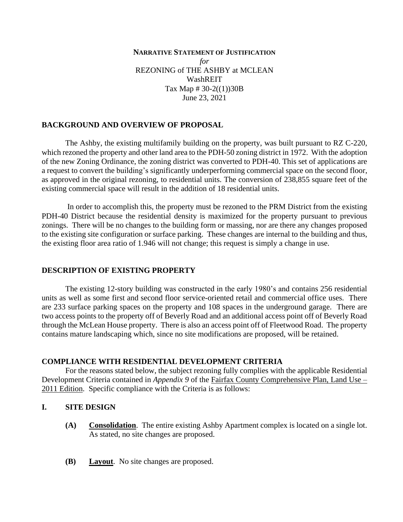### **NARRATIVE STATEMENT OF JUSTIFICATION** *for* REZONING of THE ASHBY at MCLEAN WashREIT Tax Map  $\# 30-2(1)$ )30B June 23, 2021

### **BACKGROUND AND OVERVIEW OF PROPOSAL**

The Ashby, the existing multifamily building on the property, was built pursuant to RZ C-220, which rezoned the property and other land area to the PDH-50 zoning district in 1972. With the adoption of the new Zoning Ordinance, the zoning district was converted to PDH-40. This set of applications are a request to convert the building's significantly underperforming commercial space on the second floor, as approved in the original rezoning, to residential units. The conversion of 238,855 square feet of the existing commercial space will result in the addition of 18 residential units.

In order to accomplish this, the property must be rezoned to the PRM District from the existing PDH-40 District because the residential density is maximized for the property pursuant to previous zonings. There will be no changes to the building form or massing, nor are there any changes proposed to the existing site configuration or surface parking. These changes are internal to the building and thus, the existing floor area ratio of 1.946 will not change; this request is simply a change in use.

#### **DESCRIPTION OF EXISTING PROPERTY**

The existing 12-story building was constructed in the early 1980's and contains 256 residential units as well as some first and second floor service-oriented retail and commercial office uses. There are 233 surface parking spaces on the property and 108 spaces in the underground garage. There are two access points to the property off of Beverly Road and an additional access point off of Beverly Road through the McLean House property. There is also an access point off of Fleetwood Road. The property contains mature landscaping which, since no site modifications are proposed, will be retained.

#### **COMPLIANCE WITH RESIDENTIAL DEVELOPMENT CRITERIA**

For the reasons stated below, the subject rezoning fully complies with the applicable Residential Development Criteria contained in *Appendix 9* of the Fairfax County Comprehensive Plan, Land Use – 2011 Edition. Specific compliance with the Criteria is as follows:

### **I. SITE DESIGN**

- **(A) Consolidation**. The entire existing Ashby Apartment complex is located on a single lot. As stated, no site changes are proposed.
- **(B) Layout**. No site changes are proposed.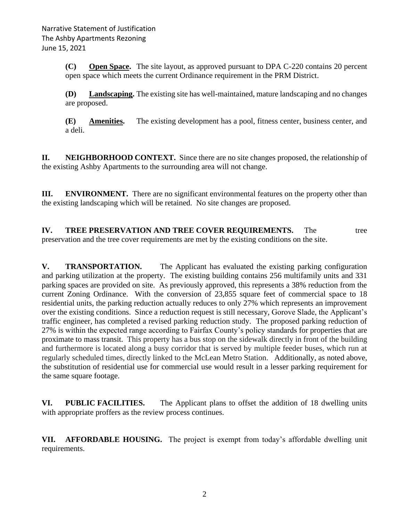**(C) Open Space.** The site layout, as approved pursuant to DPA C-220 contains 20 percent open space which meets the current Ordinance requirement in the PRM District.

**(D) Landscaping.** The existing site has well-maintained, mature landscaping and no changes are proposed.

**(E) Amenities.** The existing development has a pool, fitness center, business center, and a deli.

**II. NEIGHBORHOOD CONTEXT.** Since there are no site changes proposed, the relationship of the existing Ashby Apartments to the surrounding area will not change.

**III. ENVIRONMENT.** There are no significant environmental features on the property other than the existing landscaping which will be retained. No site changes are proposed.

**IV. TREE PRESERVATION AND TREE COVER REQUIREMENTS.** The tree preservation and the tree cover requirements are met by the existing conditions on the site.

**V. TRANSPORTATION.** The Applicant has evaluated the existing parking configuration and parking utilization at the property. The existing building contains 256 multifamily units and 331 parking spaces are provided on site. As previously approved, this represents a 38% reduction from the current Zoning Ordinance. With the conversion of 23,855 square feet of commercial space to 18 residential units, the parking reduction actually reduces to only 27% which represents an improvement over the existing conditions. Since a reduction request is still necessary, Gorove Slade, the Applicant's traffic engineer, has completed a revised parking reduction study. The proposed parking reduction of 27% is within the expected range according to Fairfax County's policy standards for properties that are proximate to mass transit. This property has a bus stop on the sidewalk directly in front of the building and furthermore is located along a busy corridor that is served by multiple feeder buses, which run at regularly scheduled times, directly linked to the McLean Metro Station. Additionally, as noted above, the substitution of residential use for commercial use would result in a lesser parking requirement for the same square footage.

**VI. PUBLIC FACILITIES.** The Applicant plans to offset the addition of 18 dwelling units with appropriate proffers as the review process continues.

**VII. AFFORDABLE HOUSING.** The project is exempt from today's affordable dwelling unit requirements.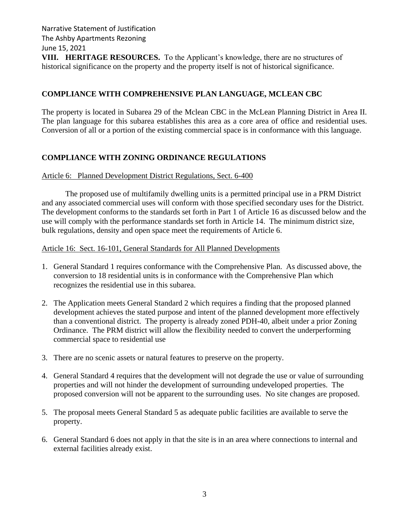Narrative Statement of Justification The Ashby Apartments Rezoning June 15, 2021

**VIII. HERITAGE RESOURCES.** To the Applicant's knowledge, there are no structures of historical significance on the property and the property itself is not of historical significance.

# **COMPLIANCE WITH COMPREHENSIVE PLAN LANGUAGE, MCLEAN CBC**

The property is located in Subarea 29 of the Mclean CBC in the McLean Planning District in Area II. The plan language for this subarea establishes this area as a core area of office and residential uses. Conversion of all or a portion of the existing commercial space is in conformance with this language.

# **COMPLIANCE WITH ZONING ORDINANCE REGULATIONS**

# Article 6: Planned Development District Regulations, Sect. 6-400

The proposed use of multifamily dwelling units is a permitted principal use in a PRM District and any associated commercial uses will conform with those specified secondary uses for the District. The development conforms to the standards set forth in Part 1 of Article 16 as discussed below and the use will comply with the performance standards set forth in Article 14. The minimum district size, bulk regulations, density and open space meet the requirements of Article 6.

# Article 16: Sect. 16-101, General Standards for All Planned Developments

- 1. General Standard 1 requires conformance with the Comprehensive Plan. As discussed above, the conversion to 18 residential units is in conformance with the Comprehensive Plan which recognizes the residential use in this subarea.
- 2. The Application meets General Standard 2 which requires a finding that the proposed planned development achieves the stated purpose and intent of the planned development more effectively than a conventional district. The property is already zoned PDH-40, albeit under a prior Zoning Ordinance. The PRM district will allow the flexibility needed to convert the underperforming commercial space to residential use
- 3. There are no scenic assets or natural features to preserve on the property.
- 4. General Standard 4 requires that the development will not degrade the use or value of surrounding properties and will not hinder the development of surrounding undeveloped properties. The proposed conversion will not be apparent to the surrounding uses. No site changes are proposed.
- 5. The proposal meets General Standard 5 as adequate public facilities are available to serve the property.
- 6. General Standard 6 does not apply in that the site is in an area where connections to internal and external facilities already exist.